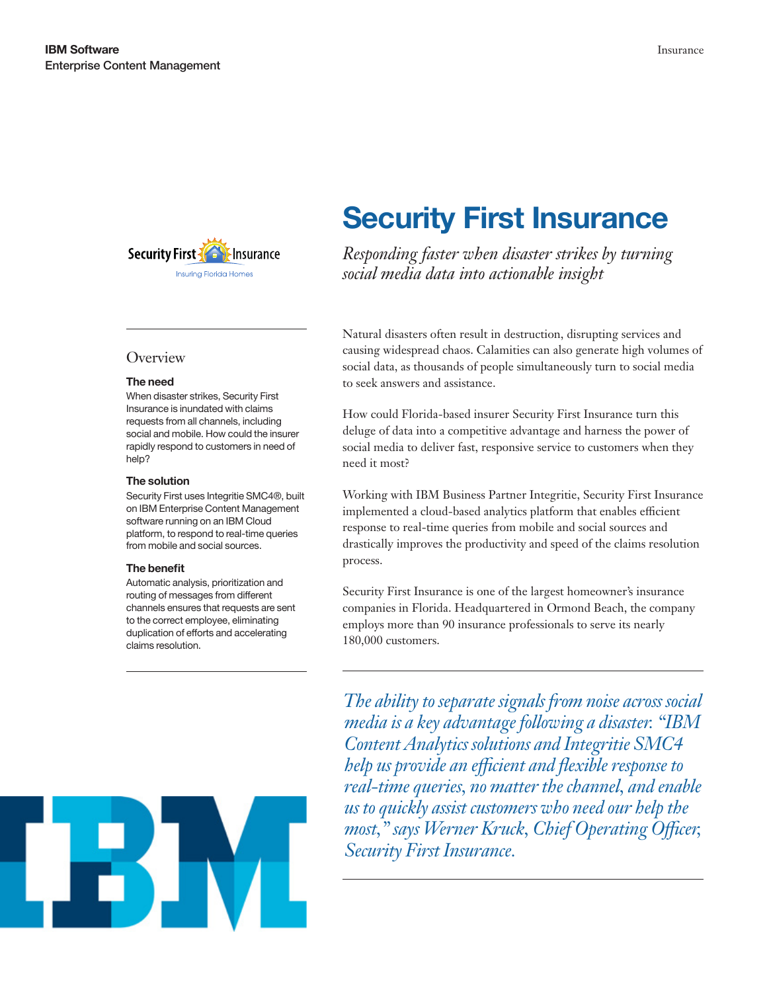

## **Overview**

#### The need

When disaster strikes, Security First Insurance is inundated with claims requests from all channels, including social and mobile. How could the insurer rapidly respond to customers in need of help?

#### The solution

Security First uses Integritie SMC4®, built on IBM Enterprise Content Management software running on an IBM Cloud platform, to respond to real-time queries from mobile and social sources.

#### The benefit

Automatic analysis, prioritization and routing of messages from different channels ensures that requests are sent to the correct employee, eliminating duplication of efforts and accelerating claims resolution.

# Security First Insurance

*Responding faster when disaster strikes by turning social media data into actionable insight*

Natural disasters often result in destruction, disrupting services and causing widespread chaos. Calamities can also generate high volumes of social data, as thousands of people simultaneously turn to social media to seek answers and assistance.

How could Florida-based insurer Security First Insurance turn this deluge of data into a competitive advantage and harness the power of social media to deliver fast, responsive service to customers when they need it most?

Working with IBM Business Partner Integritie, Security First Insurance implemented a cloud-based analytics platform that enables efficient response to real-time queries from mobile and social sources and drastically improves the productivity and speed of the claims resolution process.

Security First Insurance is one of the largest homeowner's insurance companies in Florida. Headquartered in Ormond Beach, the company employs more than 90 insurance professionals to serve its nearly 180,000 customers.

*The ability to separate signals from noise across social media is a key advantage following a disaster. "IBM Content Analytics solutions and Integritie SMC4 help us provide an efficient and flexible response to real-time queries, no matter the channel, and enable us to quickly assist customers who need our help the most," says Werner Kruck, Chief Operating Officer, Security First Insurance.*

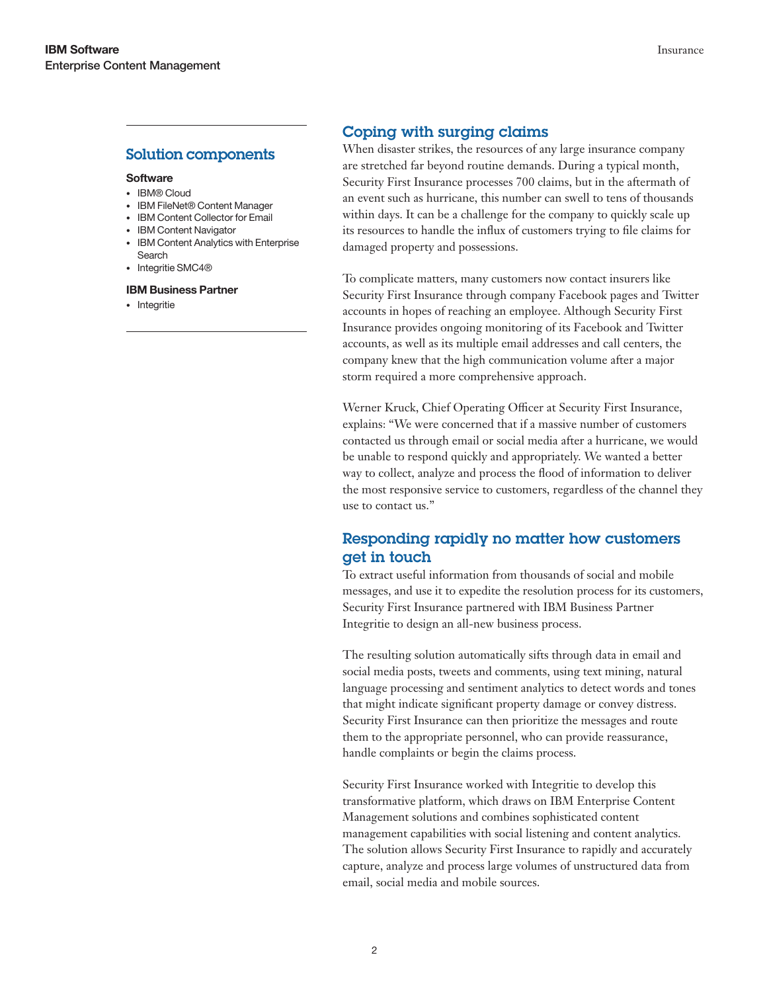## Solution components

#### **Software**

- • IBM® Cloud
- IBM FileNet® Content Manager
- **IBM Content Collector for Email**
- IBM Content Navigator
- • IBM Content Analytics with Enterprise Search
- Integritie SMC4®

#### IBM Business Partner

• Integritie

## Coping with surging claims

When disaster strikes, the resources of any large insurance company are stretched far beyond routine demands. During a typical month, Security First Insurance processes 700 claims, but in the aftermath of an event such as hurricane, this number can swell to tens of thousands within days. It can be a challenge for the company to quickly scale up its resources to handle the influx of customers trying to file claims for damaged property and possessions.

To complicate matters, many customers now contact insurers like Security First Insurance through company Facebook pages and Twitter accounts in hopes of reaching an employee. Although Security First Insurance provides ongoing monitoring of its Facebook and Twitter accounts, as well as its multiple email addresses and call centers, the company knew that the high communication volume after a major storm required a more comprehensive approach.

Werner Kruck, Chief Operating Officer at Security First Insurance, explains: "We were concerned that if a massive number of customers contacted us through email or social media after a hurricane, we would be unable to respond quickly and appropriately. We wanted a better way to collect, analyze and process the flood of information to deliver the most responsive service to customers, regardless of the channel they use to contact us."

# Responding rapidly no matter how customers get in touch

To extract useful information from thousands of social and mobile messages, and use it to expedite the resolution process for its customers, Security First Insurance partnered with IBM Business Partner Integritie to design an all-new business process.

The resulting solution automatically sifts through data in email and social media posts, tweets and comments, using text mining, natural language processing and sentiment analytics to detect words and tones that might indicate significant property damage or convey distress. Security First Insurance can then prioritize the messages and route them to the appropriate personnel, who can provide reassurance, handle complaints or begin the claims process.

Security First Insurance worked with Integritie to develop this transformative platform, which draws on IBM Enterprise Content Management solutions and combines sophisticated content management capabilities with social listening and content analytics. The solution allows Security First Insurance to rapidly and accurately capture, analyze and process large volumes of unstructured data from email, social media and mobile sources.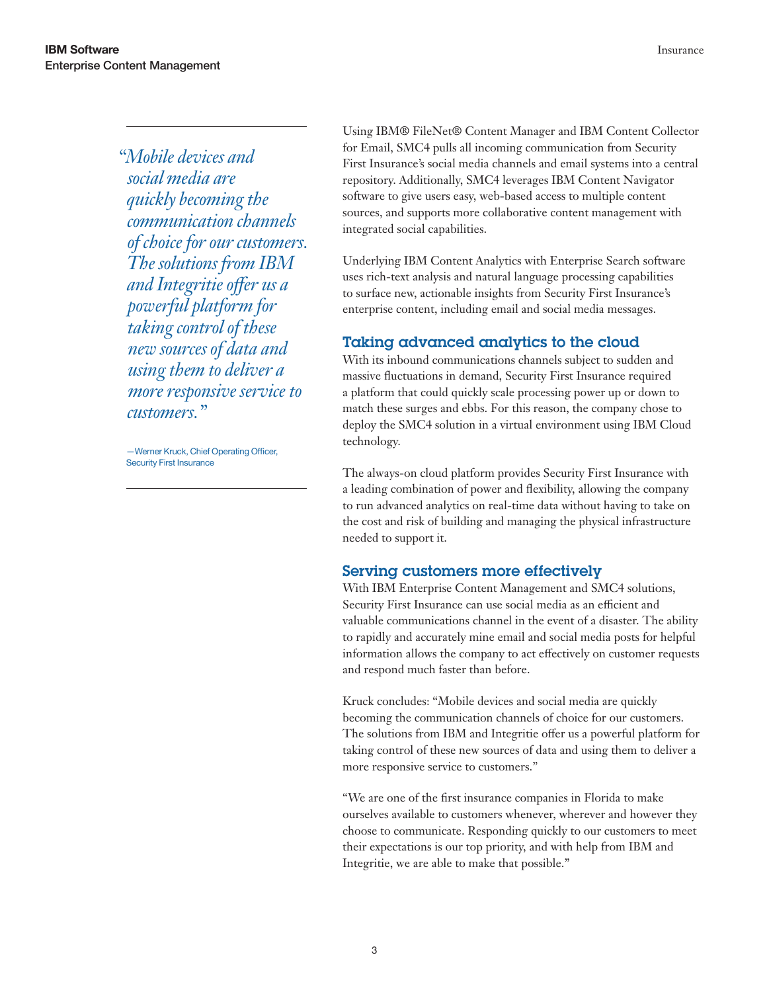*"Mobile devices and social media are quickly becoming the communication channels of choice for our customers. The solutions from IBM and Integritie offer us a powerful platform for taking control of these new sources of data and using them to deliver a more responsive service to customers."*

—Werner Kruck, Chief Operating Officer, Security First Insurance

Using IBM® FileNet® Content Manager and IBM Content Collector for Email, SMC4 pulls all incoming communication from Security First Insurance's social media channels and email systems into a central repository. Additionally, SMC4 leverages IBM Content Navigator software to give users easy, web-based access to multiple content sources, and supports more collaborative content management with integrated social capabilities.

Underlying IBM Content Analytics with Enterprise Search software uses rich-text analysis and natural language processing capabilities to surface new, actionable insights from Security First Insurance's enterprise content, including email and social media messages.

# Taking advanced analytics to the cloud

With its inbound communications channels subject to sudden and massive fluctuations in demand, Security First Insurance required a platform that could quickly scale processing power up or down to match these surges and ebbs. For this reason, the company chose to deploy the SMC4 solution in a virtual environment using IBM Cloud technology.

The always-on cloud platform provides Security First Insurance with a leading combination of power and flexibility, allowing the company to run advanced analytics on real-time data without having to take on the cost and risk of building and managing the physical infrastructure needed to support it.

# Serving customers more effectively

With IBM Enterprise Content Management and SMC4 solutions, Security First Insurance can use social media as an efficient and valuable communications channel in the event of a disaster. The ability to rapidly and accurately mine email and social media posts for helpful information allows the company to act effectively on customer requests and respond much faster than before.

Kruck concludes: "Mobile devices and social media are quickly becoming the communication channels of choice for our customers. The solutions from IBM and Integritie offer us a powerful platform for taking control of these new sources of data and using them to deliver a more responsive service to customers."

"We are one of the first insurance companies in Florida to make ourselves available to customers whenever, wherever and however they choose to communicate. Responding quickly to our customers to meet their expectations is our top priority, and with help from IBM and Integritie, we are able to make that possible."